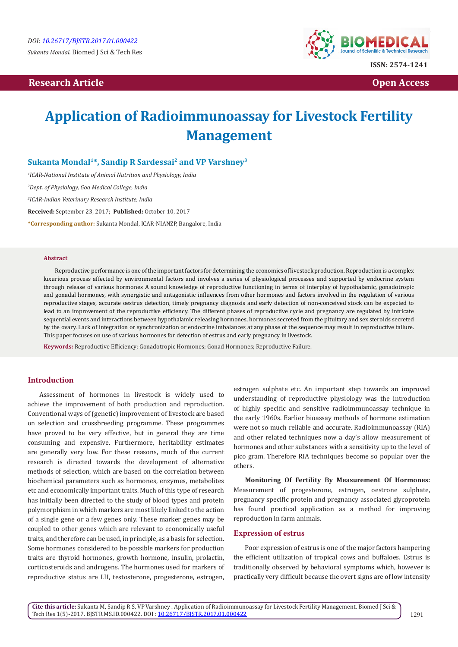## **Research Article Community Community Community Community Community Community Community Community Community Community Community Community Community Community Community Community Community Community Community Community Com**



# **Application of Radioimmunoassay for Livestock Fertility Management**

**Sukanta Mondal1\*, Sandip R Sardessai2 and VP Varshney3**

*1 ICAR-National Institute of Animal Nutrition and Physiology, India*

*2 Dept. of Physiology, Goa Medical College, India*

*3 ICAR-Indian Veterinary Research Institute, India*

**Received:** September 23, 2017; **Published:** October 10, 2017

**\*Corresponding author:** Sukanta Mondal, ICAR-NIANZP, Bangalore, India

#### **Abstract**

Reproductive performance is one of the important factors for determining the economics of livestock production. Reproduction is a complex luxurious process affected by environmental factors and involves a series of physiological processes and supported by endocrine system through release of various hormones A sound knowledge of reproductive functioning in terms of interplay of hypothalamic, gonadotropic and gonadal hormones, with synergistic and antagonistic influences from other hormones and factors involved in the regulation of various reproductive stages, accurate oestrus detection, timely pregnancy diagnosis and early detection of non-conceived stock can be expected to lead to an improvement of the reproductive efficiency. The different phases of reproductive cycle and pregnancy are regulated by intricate sequential events and interactions between hypothalamic releasing hormones, hormones secreted from the pituitary and sex steroids secreted by the ovary. Lack of integration or synchronization or endocrine imbalances at any phase of the sequence may result in reproductive failure. This paper focuses on use of various hormones for detection of estrus and early pregnancy in livestock.

**Keywords:** Reproductive Efficiency; Gonadotropic Hormones; Gonad Hormones; Reproductive Failure.

### **Introduction**

Assessment of hormones in livestock is widely used to achieve the improvement of both production and reproduction. Conventional ways of (genetic) improvement of livestock are based on selection and crossbreeding programme. These programmes have proved to be very effective, but in general they are time consuming and expensive. Furthermore, heritability estimates are generally very low. For these reasons, much of the current research is directed towards the development of alternative methods of selection, which are based on the correlation between biochemical parameters such as hormones, enzymes, metabolites etc and economically important traits. Much of this type of research has initially been directed to the study of blood types and protein polymorphism in which markers are most likely linked to the action of a single gene or a few genes only. These marker genes may be coupled to other genes which are relevant to economically useful traits, and therefore can be used, in principle, as a basis for selection. Some hormones considered to be possible markers for production traits are thyroid hormones, growth hormone, insulin, prolactin, corticosteroids and androgens. The hormones used for markers of reproductive status are LH, testosterone, progesterone, estrogen,

estrogen sulphate etc. An important step towards an improved understanding of reproductive physiology was the introduction of highly specific and sensitive radioimmunoassay technique in the early 1960s. Earlier bioassay methods of hormone estimation were not so much reliable and accurate. Radioimmunoassay (RIA) and other related techniques now a day's allow measurement of hormones and other substances with a sensitivity up to the level of pico gram. Therefore RIA techniques become so popular over the others.

**Monitoring Of Fertility By Measurement Of Hormones:** Measurement of progesterone, estrogen, oestrone sulphate, pregnancy specific protein and pregnancy associated glycoprotein has found practical application as a method for improving reproduction in farm animals.

#### **Expression of estrus**

Poor expression of estrus is one of the major factors hampering the efficient utilization of tropical cows and buffaloes. Estrus is traditionally observed by behavioral symptoms which, however is practically very difficult because the overt signs are of low intensity

**Cite this article:** Sukanta M, Sandip R S, VP Varshney . Application of Radioimmunoassay for Livestock Fertility Management. Biomed J Sci & Tech Res 1(5)-2017. BJSTR.MS.ID.000422. DOI : [10.26717/BJSTR.2017.01.000422](http://dx.doi.org/10.26717/BJSTR.2017.01.000422)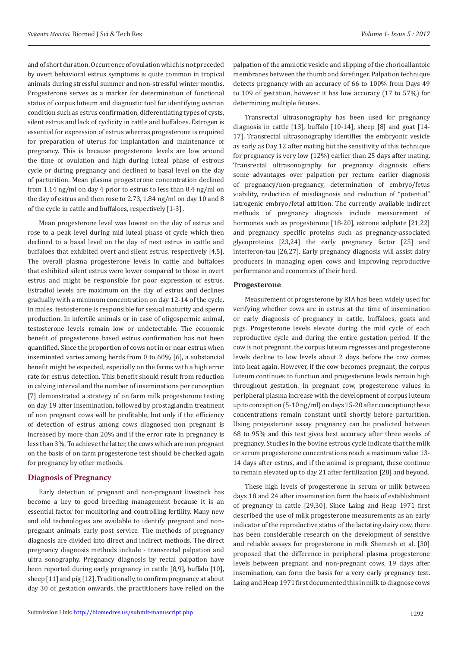and of short duration. Occurrence of ovulation which is not preceded by overt behavioral estrus symptoms is quite common in tropical animals during stressful summer and non-stressful winter months. Progesterone serves as a marker for determination of functional status of corpus luteum and diagnostic tool for identifying ovarian condition such as estrus confirmation, differentiating types of cysts, silent estrus and lack of cyclicity in cattle and buffaloes. Estrogen is essential for expression of estrus whereas progesterone is required for preparation of uterus for implantation and maintenance of pregnancy. This is because progesterone levels are low around the time of ovulation and high during luteal phase of estrous cycle or during pregnancy and declined to basal level on the day of parturition. Mean plasma progesterone concentration declined from 1.14 ng/ml on day 4 prior to estrus to less than 0.4 ng/ml on the day of estrus and then rose to 2.73, 1.84 ng/ml on day 10 and 8 of the cycle in cattle and buffaloes, respectively [1-3] .

Mean progesterone level was lowest on the day of estrus and rose to a peak level during mid luteal phase of cycle which then declined to a basal level on the day of next estrus in cattle and buffaloes that exhibited overt and silent estrus, respectively [4,5]. The overall plasma progesterone levels in cattle and buffaloes that exhibited silent estrus were lower compared to those in overt estrus and might be responsible for poor expression of estrus. Estradiol levels are maximum on the day of estrus and declines gradually with a minimum concentration on day 12-14 of the cycle. In males, testosterone is responsible for sexual maturity and sperm production. In infertile animals or in case of oligospermic animal, testosterone levels remain low or undetectable. The economic benefit of progesterone based estrus confirmation has not been quantified. Since the proportion of cows not in or near estrus when inseminated varies among herds from 0 to 60% [6], a substancial benefit might be expected, especially on the farms with a high error rate for estrus detection. This benefit should result from reduction in calving interval and the number of inseminations per conception [7] demonstrated a strategy of on farm milk progesterone testing on day 19 after insemination, followed by prostaglandin treatment of non pregnant cows will be profitable, but only if the efficiency of detection of estrus among cows diagnosed non pregnant is increased by more than 20% and if the error rate in pregnancy is less than 3%. To achieve the latter, the cows which are non pregnant on the basis of on farm progesterone test should be checked again for pregnancy by other methods.

#### **Diagnosis of Pregnancy**

Early detection of pregnant and non-pregnant livestock has become a key to good breeding management because it is an essential factor for monitoring and controlling fertility. Many new and old technologies are available to identify pregnant and nonpregnant animals early post service. The methods of pregnancy diagnosis are divided into direct and indirect methods. The direct pregnancy diagnosis methods include - transrectal palpation and ultra sonography. Pregnancy diagnosis by rectal palpation have been reported during early pregnancy in cattle [8,9], buffalo [10], sheep [11] and pig [12]. Traditionally, to confirm pregnancy at about day 30 of gestation onwards, the practitioners have relied on the

palpation of the amniotic vesicle and slipping of the chorioallantoic membranes between the thumb and forefinger. Palpation technique detects pregnancy with an accuracy of 66 to 100% from Days 49 to 109 of gestation, however it has low accuracy (17 to 57%) for determining multiple fetuses.

Transrectal ultrasonography has been used for pregnancy diagnosis in cattle [13], buffalo [10-14], sheep [8] and goat [14- 17]. Transrectal ultrasonography identifies the embryonic vesicle as early as Day 12 after mating but the sensitivity of this technique for pregnancy is very low (12%) earlier than 25 days after mating. Transrectal ultrasonography for pregnancy diagnosis offers some advantages over palpation per rectum: earlier diagnosis of pregnancy/non-pregnancy, determination of embryo/fetus viability, reduction of misdiagnosis and reduction of "potential" iatrogenic embryo/fetal attrition. The currently available indirect methods of pregnancy diagnosis include measurement of hormones such as progesterone [18-20], estrone sulphate [21,22] and pregnancy specific proteins such as pregnancy-associated glycoproteins [23,24] the early pregnancy factor [25] and interferon-tau [26,27]. Early pregnancy diagnosis will assist dairy producers in managing open cows and improving reproductive performance and economics of their herd.

#### **Progesterone**

Measurement of progesterone by RIA has been widely used for verifying whether cows are in estrus at the time of insemination or early diagnosis of pregnancy in cattle, buffaloes, goats and pigs. Progesterone levels elevate during the mid cycle of each reproductive cycle and during the entire gestation period. If the cow is not pregnant, the corpus luteum regresses and progesterone levels decline to low levels about 2 days before the cow comes into heat again. However, if the cow becomes pregnant, the corpus luteum continues to function and progesterone levels remain high throughout gestation. In pregnant cow, progesterone values in peripheral plasma increase with the development of corpus luteum up to conception (5-10 ng/ml) on days 15-20 after conception; these concentrations remain constant until shortly before parturition. Using progesterone assay pregnancy can be predicted between 68 to 95% and this test gives best accuracy after three weeks of pregnancy. Studies in the bovine estrous cycle indicate that the milk or serum progesterone concentrations reach a maximum value 13- 14 days after estrus, and if the animal is pregnant, these continue to remain elevated up to day 21 after fertilization [28] and beyond.

These high levels of progesterone in serum or milk between days 18 and 24 after insemination form the basis of establishment of pregnancy in cattle [29,30]. Since Laing and Heap 1971 first described the use of milk progesterone measurements as an early indicator of the reproductive status of the lactating dairy cow, there has been considerable research on the development of sensitive and reliable assays for progesterone in milk Shemesh et al. [30] proposed that the difference in peripheral plasma progesterone levels between pregnant and non-pregnant cows, 19 days after insemination, can form the basis for a very early pregnancy test. Laing and Heap 1971 first documented this in milk to diagnose cows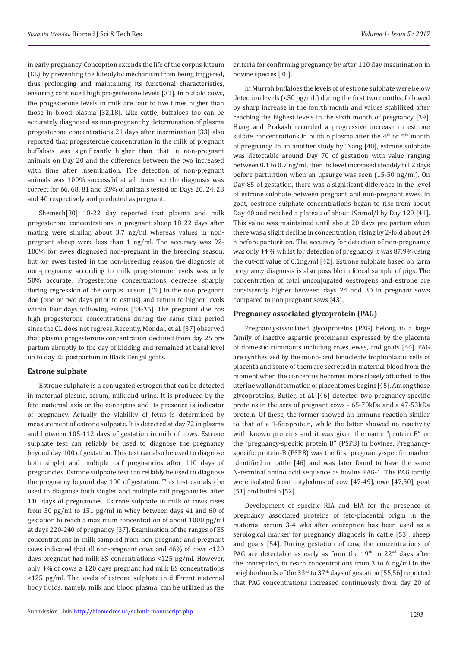in early pregnancy. Conception extends the life of the corpus luteum (CL) by preventing the luteolytic mechanism from being triggered, thus prolonging and maintaining its functional characteristics, ensuring continued high progesterone levels [31]. In buffalo cows, the progesterone levels in milk are four to five times higher than those in blood plasma [32,18]. Like cattle, buffaloes too can be accurately diagnosed as non-pregnant by determination of plasma progesterone concentrations 21 days after insemination [33] also reported that progesterone concentration in the milk of pregnant buffaloes was significantly higher than that in non-pregnant animals on Day 20 and the difference between the two increased with time after insemination. The detection of non-pregnant animals was 100% successful at all times but the diagnosis was correct for 66, 68, 81 and 83% of animals tested on Days 20, 24, 28 and 40 respectively and predicted as pregnant.

Shemesh[30] 18-22 day reported that plasma and milk progesterone concentrations in pregnant sheep 18 22 days after mating were similar, about 3.7 ng/ml whereas values in nonpregnant sheep were less than 1 ng/ml. The accuracy was 92- 100% for ewes diagnosed non-pregnant in the breeding season, but for ewes tested in the non-breeding season the diagnosis of non-pregnancy according to milk progesterone levels was only 50% accurate. Progesterone concentrations decrease sharply during regression of the corpus luteum (CL) in the non pregnant doe (one or two days prior to estrus) and return to higher levels within four days following estrus [34-36]. The pregnant doe has high progesterone concentrations during the same time period since the CL does not regress. Recently, Mondal, et al. [37] observed that plasma progesterone concentration declined from day 25 pre partum abruptly to the day of kidding and remained at basal level up to day 25 postpartum in Black Bengal goats.

#### **Estrone sulphate**

Estrone sulphate is a conjugated estrogen that can be detected in maternal plasma, serum, milk and urine. It is produced by the feto maternal axis or the conceptus and its presence is indicator of pregnancy. Actually the viability of fetus is determined by measurement of estrone sulphate. It is detected at day 72 in plasma and between 105-112 days of gestation in milk of cows. Estrone sulphate test can reliably be used to diagnose the pregnancy beyond day 100 of gestation. This test can also be used to diagnose both singlet and multiple calf pregnancies after 110 days of pregnancies. Estrone sulphate test can reliably be used to diagnose the pregnancy beyond day 100 of gestation. This test can also be used to diagnose both singlet and multiple calf pregnancies after 110 days of pregnancies. Estrone sulphate in milk of cows rises from 30 pg/ml to 151 pg/ml in whey between days 41 and 60 of gestation to reach a maximum concentration of about 1000 pg/ml at days 220-240 of pregnancy [37]. Examination of the ranges of ES concentrations in milk sampled from non-pregnant and pregnant cows indicated that all non-pregnant cows and 46% of cows <120 days pregnant had milk ES concentrations <125 pg/ml. However, only 4% of cows  $\geq$  120 days pregnant had milk ES concentrations <125 pg/ml. The levels of estrone sulphate in different maternal body fluids, namely, milk and blood plasma, can be utilized as the

criteria for confirming pregnancy by after 110 day insemination in bovine species [38].

In Murrah buffaloes the levels of of estrone sulphate were below detection levels (<50 pg/mL) during the first two months, followed by sharp increase in the fourth month and values stabilized after reaching the highest levels in the sixth month of pregnancy [39]. Hung and Prakash recorded a progressive increase in estrone sulfate concentrations in buffalo plasma after the  $4<sup>th</sup>$  or  $5<sup>th</sup>$  month of pregnancy. In an another study by Tsang [40], estrone sulphate was detectable around Day 70 of gestation with value ranging between 0.1 to 0.7 ng/ml, then its level increased steadily till 2 days before parturition when an upsurge was seen (15-50 ng/ml). On Day 85 of gestation, there was a significant difference in the level of estrone sulphate between pregnant and non-pregnant ewes. In goat, oestrone sulphate concentrations began to rise from about Day 40 and reached a plateau of about 19nmol/l by Day 120 [41]. This value was maintained until about 20 days pre partum when there was a slight decline in concentration, rising by 2-fold about 24 h before parturition. The accuracy for detection of non-pregnancy was only 44 % whilst for detection of pregnancy it was 87.9% using the cut-off value of 0.1ng/ml [42]. Estrone sulphate based on farm pregnancy diagnosis is also possible in foecal sample of pigs. The concentration of total unconjugated oestrogens and estrone are consistently higher between days 24 and 30 in pregnant sows compared to non pregnant sows [43].

#### **Pregnancy associated glycoprotein (PAG)**

Pregnancy-associated glycoproteins (PAG) belong to a large family of inactive aspartic proteinases expressed by the placenta of domestic ruminants including cows, ewes, and goats [44]. PAG are synthesized by the mono- and binucleate trophoblastic cells of placenta and some of them are secreted in maternal blood from the moment when the conceptus becomes more closely attached to the uterine wall and formation of placentomes begins [45]. Among these glycoproteins, Butler, et al. [46] detected two pregnancy-specific proteins in the sera of pregnant cows - 65-70kDa and a 47-53kDa protein. Of these, the former showed an immune reaction similar to that of a 1-fetoprotein, while the latter showed no reactivity with known proteins and it was given the name "protein B" or the "pregnancy-specific protein B" (PSPB) in bovines. Pregnancyspecific protein-B (PSPB) was the first pregnancy-specific marker identified in cattle [46] and was later found to have the same N-terminal amino acid sequence as bovine PAG-1. The PAG family were isolated from cotyledons of cow [47-49], ewe [47,50], goat [51] and buffalo [52].

Development of specific RIA and EIA for the presence of pregnancy associated proteins of feto-placental origin in the maternal serum 3-4 wks after conception has been used as a serological marker for pregnancy diagnosis in cattle [53], sheep and goats [54]. During gestation of cow, the concentrations of PAG are detectable as early as from the  $19<sup>th</sup>$  to  $22<sup>nd</sup>$  days after the conception, to reach concentrations from 3 to 6 ng/ml in the neighborhoods of the 33rd to 37th days of gestation [55,56] reported that PAG concentrations increased continuously from day 20 of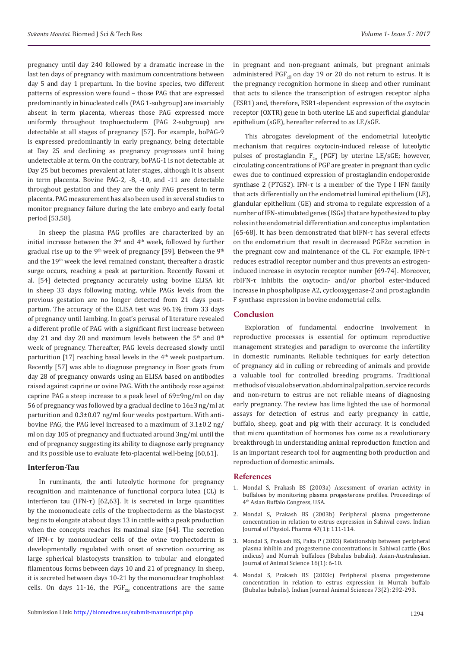pregnancy until day 240 followed by a dramatic increase in the last ten days of pregnancy with maximum concentrations between day 5 and day 1 prepartum. In the bovine species, two different patterns of expression were found – those PAG that are expressed predominantly in binucleated cells (PAG 1-subgroup) are invariably absent in term placenta, whereas those PAG expressed more uniformly throughout trophoectoderm (PAG 2-subgroup) are detectable at all stages of pregnancy [57]. For example, boPAG-9 is expressed predominantly in early pregnancy, being detectable at Day 25 and declining as pregnancy progresses until being undetectable at term. On the contrary, boPAG-1 is not detectable at Day 25 but becomes prevalent at later stages, although it is absent in term placenta. Bovine PAG-2, -8, -10, and -11 are detectable throughout gestation and they are the only PAG present in term placenta. PAG measurement has also been used in several studies to monitor pregnancy failure during the late embryo and early foetal period [53,58].

In sheep the plasma PAG profiles are characterized by an initial increase between the  $3<sup>rd</sup>$  and  $4<sup>th</sup>$  week, followed by further gradual rise up to the 9<sup>th</sup> week of pregnancy [59]. Between the 9<sup>th</sup> and the 19th week the level remained constant, thereafter a drastic surge occurs, reaching a peak at parturition. Recently Rovani et al. [54] detected pregnancy accurately using bovine ELISA kit in sheep 33 days following mating, while PAGs levels from the previous gestation are no longer detected from 21 days postpartum. The accuracy of the ELISA test was 96.1% from 33 days of pregnancy until lambing. In goat's perusal of literature revealed a different profile of PAG with a significant first increase between day 21 and day 28 and maximum levels between the 5<sup>th</sup> and 8<sup>th</sup> week of pregnancy. Thereafter, PAG levels decreased slowly until parturition  $[17]$  reaching basal levels in the  $4<sup>th</sup>$  week postpartum. Recently [57] was able to diagnose pregnancy in Boer goats from day 28 of pregnancy onwards using an ELISA based on antibodies raised against caprine or ovine PAG. With the antibody rose against caprine PAG a steep increase to a peak level of 69±9ng/ml on day 56 of pregnancy was followed by a gradual decline to 16±3 ng/ml at parturition and 0.3±0.07 ng/ml four weeks postpartum. With antibovine PAG, the PAG level increased to a maximum of 3.1±0.2 ng/ ml on day 105 of pregnancy and fluctuated around 3ng/ml until the end of pregnancy suggesting its ability to diagnose early pregnancy and its possible use to evaluate feto-placental well-being [60,61].

#### **Interferon-Tau**

In ruminants, the anti luteolytic hormone for pregnancy recognition and maintenance of functional corpora lutea (CL) is interferon tau (IFN-τ) [62,63]. It is secreted in large quantities by the mononucleate cells of the trophectoderm as the blastocyst begins to elongate at about days 13 in cattle with a peak production when the concepts reaches its maximal size [64]. The secretion of IFN-τ by mononuclear cells of the ovine trophectoderm is developmentally regulated with onset of secretion occurring as large spherical blastocysts transition to tubular and elongated filamentous forms between days 10 and 21 of pregnancy. In sheep, it is secreted between days 10-21 by the mononuclear trophoblast cells. On days 11-16, the PGF<sub>2</sub> concentrations are the same

in pregnant and non-pregnant animals, but pregnant animals administered PGF<sub>2</sub> on day 19 or 20 do not return to estrus. It is the pregnancy recognition hormone in sheep and other ruminant that acts to silence the transcription of estrogen receptor alpha (ESR1) and, therefore, ESR1-dependent expression of the oxytocin receptor (OXTR) gene in both uterine LE and superficial glandular epithelium (sGE), hereafter referred to as LE/sGE.

This abrogates development of the endometrial luteolytic mechanism that requires oxytocin-induced release of luteolytic pulses of prostaglandin  $F_{2\alpha}$  (PGF) by uterine LE/sGE; however, circulating concentrations of PGF are greater in pregnant than cyclic ewes due to continued expression of prostaglandin endoperoxide synthase 2 (PTGS2). IFN-τ is a member of the Type I IFN family that acts differentially on the endometrial luminal epithelium (LE), glandular epithelium (GE) and stroma to regulate expression of a number of IFN-stimulated genes (ISGs) that are hypothesized to play roles in the endometrial differentiation and conceptus implantation [65-68]. It has been demonstrated that bIFN-τ has several effects on the endometrium that result in decreased PGF2α secretion in the pregnant cow and maintenance of the CL. For example, IFN-τ reduces estradiol receptor number and thus prevents an estrogeninduced increase in oxytocin receptor number [69-74]. Moreover, rbIFN-τ inhibits the oxytocin- and/or phorbol ester-induced increase in phospholipase A2, cyclooxygenase-2 and prostaglandin F synthase expression in bovine endometrial cells.

#### **Conclusion**

Exploration of fundamental endocrine involvement in reproductive processes is essential for optimum reproductive management strategies and paradigm to overcome the infertility in domestic ruminants. Reliable techniques for early detection of pregnancy aid in culling or rebreeding of animals and provide a valuable tool for controlled breeding programs. Traditional methods of visual observation, abdominal palpation, service records and non-return to estrus are not reliable means of diagnosing early pregnancy. The review has lime lighted the use of hormonal assays for detection of estrus and early pregnancy in cattle, buffalo, sheep, goat and pig with their accuracy. It is concluded that micro quantitation of hormones has come as a revolutionary breakthrough in understanding animal reproduction function and is an important research tool for augmenting both production and reproduction of domestic animals.

#### **References**

- 1. Mondal S, Prakash BS (2003a) Assessment of ovarian activity in buffaloes by monitoring plasma progesterone profiles. Proceedings of 4th Asian Buffalo Congress, USA.
- 2. [Mondal S, Prakash BS \(2003b\) Peripheral plasma progesterone](https://www.ncbi.nlm.nih.gov/pubmed/12708133) [concentration in relation to estrus expression in Sahiwal cows. Indian](https://www.ncbi.nlm.nih.gov/pubmed/12708133) [Journal of Physiol. Pharma 47\(1\): 111-114.](https://www.ncbi.nlm.nih.gov/pubmed/12708133)
- 3. [Mondal S, Prakash BS, Palta P \(2003\) Relationship between peripheral](https://www.ajas.info/journal/view.php?number=20347) [plasma inhibin and progesterone concentrations in Sahiwal cattle \(Bos](https://www.ajas.info/journal/view.php?number=20347) [indicus\) and Murrah buffaloes \(Bubalus bubalis\). Asian-Australasian.](https://www.ajas.info/journal/view.php?number=20347) [Journal of Animal Science 16\(1\): 6-10.](https://www.ajas.info/journal/view.php?number=20347)
- 4. [Mondal S, Prakash BS \(2003c\) Peripheral plasma progesterone](http://agris.fao.org/agris-search/search.do?recordID=IN2005000244) [concentration in relation to estrus expression in Murrah buffalo](http://agris.fao.org/agris-search/search.do?recordID=IN2005000244) [\(Bubalus bubalis\). Indian Journal Animal Sciences 73\(2\): 292-293.](http://agris.fao.org/agris-search/search.do?recordID=IN2005000244)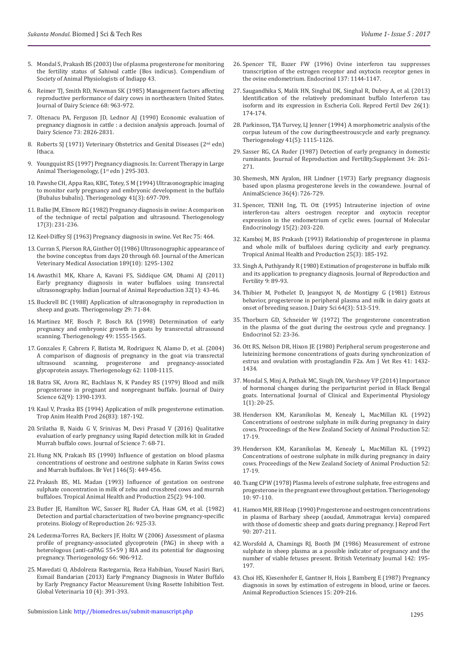- 5. [Mondal S, Prakash BS \(2003\) Use of plasma progesterone for monitoring](https://www.ajas.info/upload/pdf/16_2.pdf)  [the fertility status of Sahiwal cattle \(Bos indicus\). Compendium of](https://www.ajas.info/upload/pdf/16_2.pdf)  [Society of Animal Physiologists of Indiapp 43](https://www.ajas.info/upload/pdf/16_2.pdf).
- 6. [Reimer TJ, Smith RD, Newman SK \(1985\) Management factors affecting](https://www.ncbi.nlm.nih.gov/pubmed/3998240)  [reproductive performance of dairy cows in northeastern United States.](https://www.ncbi.nlm.nih.gov/pubmed/3998240)  [Journal of Dairy Science 68: 963-972.](https://www.ncbi.nlm.nih.gov/pubmed/3998240)
- 7. [Oltenacu PA, Ferguson JD, Lednor AJ \(1990\) Economic evaluation of](https://www.ncbi.nlm.nih.gov/pubmed/2126548)  [pregnancy diagnosis in cattle : a decision analysis approach. Journal of](https://www.ncbi.nlm.nih.gov/pubmed/2126548)  [Dairy Science 73: 2826-2831.](https://www.ncbi.nlm.nih.gov/pubmed/2126548)
- 8. [Roberts SJ \(1971\) Veterinary Obstetrics and Genital Diseases \(2](https://www.cabdirect.org/cabdirect/abstract/19572202570)<sup>nd</sup> edn) [Ithaca.](https://www.cabdirect.org/cabdirect/abstract/19572202570)
- 9. Youngquist RS (1997) Pregnancy diagnosis. In: Current Therapy in Large Animal Theriogenology, (1<sup>st</sup> edn) 295-303.
- 10. [Pawshe CH, Appa Rao, KBC, Totey, S M \(1994\) Ultrasonographic imaging](https://www.ncbi.nlm.nih.gov/pubmed/16727424)  [to monitor early pregnancy and embryonic development in the buffalo](https://www.ncbi.nlm.nih.gov/pubmed/16727424)  [\(Bubalus bubalis\). Theriogenology 41\(3\): 697-709.](https://www.ncbi.nlm.nih.gov/pubmed/16727424)
- 11. Balke JM, Elmore RG (1982) Pregnancy diagnosis in swine: A comparison of the technique of rectal palpation and ultrasound. Theriogenology 17(3): 231-236.
- 12. Keel-Diffey SJ (1963) Pregnancy diagnosis in swine. Vet Rec 75: 464.
- 13. [Curran S, Pierson RA, Ginther OJ \(1986\) Ultrasonographic appearance of](http://europepmc.org/abstract/med/3793570)  [the bovine conceptus from days 20 through 60. Journal of the American](http://europepmc.org/abstract/med/3793570)  [Veterinary Medical Association 189\(10\): 1295-1302](http://europepmc.org/abstract/med/3793570)
- 14. [Awasthi1 MK, Khare A, Kavani FS, Siddique GM, Dhami AJ \(2011\)](http://web.inflibnet.ac.in/ojs/index.php/IJAR/article/view/3835)  [Early pregnancy diagnosis in water buffaloes using transrectal](http://web.inflibnet.ac.in/ojs/index.php/IJAR/article/view/3835)  [ultrasonography. Indian Journal of Animal Reproduction 32\(1\): 43-46.](http://web.inflibnet.ac.in/ojs/index.php/IJAR/article/view/3835)
- 15. [Buckrell BC \(1988\) Application of ultrasonography in reproduction in](http://www.theriojournal.com/article/0093-691X(88)90032-5/abstract)  [sheep and goats. Theriogenology 29: 71-84.](http://www.theriojournal.com/article/0093-691X(88)90032-5/abstract)
- 16. [Martinez MF, Bosch P, Bosch RA \(1998\) Determination of early](https://www.ncbi.nlm.nih.gov/pubmed/10732019)  [pregnancy and embryonic growth in goats by transrectal ultrasound](https://www.ncbi.nlm.nih.gov/pubmed/10732019)  [scanning. Theriogenology 49: 1555-1565.](https://www.ncbi.nlm.nih.gov/pubmed/10732019)
- 17. [Gonzales F, Cabrera F, Batista M, Rodriguez N, Alamo D, et al. \(2004\)](https://www.ncbi.nlm.nih.gov/pubmed/15289050)  [A comparison of diagnosis of pregnancy in the goat via transrectal](https://www.ncbi.nlm.nih.gov/pubmed/15289050)  [ultrasound scanning, progesterone and pregnancy-associated](https://www.ncbi.nlm.nih.gov/pubmed/15289050)  [glycoprotein assays. Theriogenology 62: 1108-1115.](https://www.ncbi.nlm.nih.gov/pubmed/15289050)
- 18. [Batra SK, Arora RC, Bachlaus N, K Pandey RS \(1979\) Blood and milk](https://www.ncbi.nlm.nih.gov/pubmed/512137)  [progesterone in pregnant and nonpregnant buffalo. Journal of Dairy](https://www.ncbi.nlm.nih.gov/pubmed/512137)  [Science 62\(9\): 1390-1393.](https://www.ncbi.nlm.nih.gov/pubmed/512137)
- 19. [Kaul V, Praska BS \(1994\) Application of milk progesterone estimation.](https://www.ncbi.nlm.nih.gov/pubmed/7401048https:/www.ncbi.nlm.nih.gov/pubmed/7401048)  [Trop Anim Health Prod 26\(83\): 187-192.](https://www.ncbi.nlm.nih.gov/pubmed/7401048https:/www.ncbi.nlm.nih.gov/pubmed/7401048)
- 20. [Srilatha B, Naidu G V, Srinivas M, Devi Prasad V \(2016\) Qualitative](http://livestockscience.in/wp-content/uploads/milk-prog-buff-pd.pdf)  [evaluation of early pregnancy using Rapid detection milk kit in Graded](http://livestockscience.in/wp-content/uploads/milk-prog-buff-pd.pdf)  [Murrah buffalo cows. Journal of Science 7: 68-71.](http://livestockscience.in/wp-content/uploads/milk-prog-buff-pd.pdf)
- 21. Hung NN, [Prakash BS \(1990\) Influence of gestation on blood plasma](https://www.ncbi.nlm.nih.gov/pubmed/2171712)  [concentrations of oestrone and oestrone sulphate in Karan Swiss cows](https://www.ncbi.nlm.nih.gov/pubmed/2171712)  [and Murrah buffaloes. Br Vet J](https://www.ncbi.nlm.nih.gov/pubmed/2171712) 146(5): 449-456.
- 22. [Prakash BS, ML Madan \(1993\) Influence of gestation on oestrone](https://www.ncbi.nlm.nih.gov/pubmed/8236487)  [sulphate concentration in milk of zebu and crossbred cows and murrah](https://www.ncbi.nlm.nih.gov/pubmed/8236487)  [buffaloes. Tropical Animal Health and Production 25\(2\): 94-100.](https://www.ncbi.nlm.nih.gov/pubmed/8236487)
- 23. Butler JE, Hamilton WC, Sasser RJ, Ruder CA, Haas GM, et al. (1982) Detection and partial characterization of two bovine pregnancy-specific proteins. Biology of Reproduction 26: 925-33.
- 24. [Ledezma-Torres RA, Beckers JF, Holtz W \(2006\) Assessment of plasma](https://www.ncbi.nlm.nih.gov/pubmed/16566995)  [profile of pregnancy-associated glycoprotein \(PAG\) in sheep with a](https://www.ncbi.nlm.nih.gov/pubmed/16566995)  [heterologous \(anti-caPAG 55+59 \) RIA and its potential for diagnosing](https://www.ncbi.nlm.nih.gov/pubmed/16566995)  [pregnancy. Theriogenology 66: 906-912.](https://www.ncbi.nlm.nih.gov/pubmed/16566995)
- 25. [Mavedati O, Abdolreza Rastegarnia, Reza Habibian, Yousef Nasiri Bari,](https://www.researchgate.net/publication/289733330_Early_pregnancy_diagnosis_in_water_buffalo_by_early_pregnancy_factor_measurement_using_rosette_inhibition_test)  [Esmail Bandarian \(2013\) Early Pregnancy Diagnosis in Water Buffalo](https://www.researchgate.net/publication/289733330_Early_pregnancy_diagnosis_in_water_buffalo_by_early_pregnancy_factor_measurement_using_rosette_inhibition_test)  [by Early Pregnancy Factor Measurement Using Rosette Inhibition Test.](https://www.researchgate.net/publication/289733330_Early_pregnancy_diagnosis_in_water_buffalo_by_early_pregnancy_factor_measurement_using_rosette_inhibition_test)  [Global Veterinaria 10 \(4\): 391-393.](https://www.researchgate.net/publication/289733330_Early_pregnancy_diagnosis_in_water_buffalo_by_early_pregnancy_factor_measurement_using_rosette_inhibition_test)
- 26. [Spencer TE, Bazer FW \(1996\) Ovine interferon tau suppresses](https://www.ncbi.nlm.nih.gov/pubmed/8603586) [transcription of the estrogen receptor and oxytocin receptor genes in](https://www.ncbi.nlm.nih.gov/pubmed/8603586) [the ovine endometrium. Endocrinol 137: 1144-1147.](https://www.ncbi.nlm.nih.gov/pubmed/8603586)
- 27. [Saugandhika S, Malik HN, Singhal DK, Singhal R, Dubey A, et al. \(2013\)](https://www.ncbi.nlm.nih.gov/pubmed/25890875) [Identification of the relatively predominant buffalo Interferon tau](https://www.ncbi.nlm.nih.gov/pubmed/25890875) [isoform and its expression in Escheria Coli. Reprod Fertil Dev 26\(1\):](https://www.ncbi.nlm.nih.gov/pubmed/25890875) [174-174.](https://www.ncbi.nlm.nih.gov/pubmed/25890875)
- 28. [Parkinson, TJA Turvey, LJ Jenner \(1994\) A morphometric analysis of the](http://www.sciencedirect.com/science/article/pii/S0093691X05800342) [corpus luteum of the cow duringtheestrouscycle and early pregnancy.](http://www.sciencedirect.com/science/article/pii/S0093691X05800342) [Theriogenology 41\(5\): 1115-1126.](http://www.sciencedirect.com/science/article/pii/S0093691X05800342)
- 29. [Sasser RG, CA Ruder \(1987\) Detection of early pregnancy in domestic](https://www.ncbi.nlm.nih.gov/pubmed/3305923) [ruminants. Journal of Reproduction and Fertility.Supplement 34: 261-](https://www.ncbi.nlm.nih.gov/pubmed/3305923) [271.](https://www.ncbi.nlm.nih.gov/pubmed/3305923)
- 30. [Shemesh, MN Ayalon, HR Lindner \(1973\) Early pregnancy diagnosis](https://dl.sciencesocieties.org/publications/jas/abstracts/36/4/JAN0360040726) [based upon plasma progesterone levels in the cowandewe. Journal of](https://dl.sciencesocieties.org/publications/jas/abstracts/36/4/JAN0360040726) [AnimalScience 36\(4\): 726-729.](https://dl.sciencesocieties.org/publications/jas/abstracts/36/4/JAN0360040726)
- 31. [Spencer, TENH Ing, TL Ott \(1995\) Intrauterine injection of ovine](https://www.ncbi.nlm.nih.gov/pubmed/8800645) [interferon-tau alters oestrogen receptor and oxytocin receptor](https://www.ncbi.nlm.nih.gov/pubmed/8800645) [expression in the endometrium of cyclic ewes. Journal of Molecular](https://www.ncbi.nlm.nih.gov/pubmed/8800645) [Endocrinology 15\(2\): 203-220.](https://www.ncbi.nlm.nih.gov/pubmed/8800645)
- 32. [Kamboj M, BS Prakash \(1993\) Relationship of progesterone in plasma](https://www.ncbi.nlm.nih.gov/pubmed/8236496) [and whole milk of buffaloes during cyclicity and early pregnancy.](https://www.ncbi.nlm.nih.gov/pubmed/8236496) [Tropical Animal Health and Production 25\(3\): 185-192.](https://www.ncbi.nlm.nih.gov/pubmed/8236496)
- 33. [Singh A, Puthiyandy R \(1980\) Estimation of progesterone in buffalo milk](https://www.ncbi.nlm.nih.gov/pubmed/7401048) [and its application to pregnancy diagnosis. Journal of Reproduction and](https://www.ncbi.nlm.nih.gov/pubmed/7401048) [Fertility 9: 89-93.](https://www.ncbi.nlm.nih.gov/pubmed/7401048)
- 34. [Thibier M, Pothelet D, Jeanguyot N, de Montigny G \(1981\) Estrous](https://www.ncbi.nlm.nih.gov/pubmed/7196414) [behavior, progesterone in peripheral plasma and milk in dairy goats at](https://www.ncbi.nlm.nih.gov/pubmed/7196414) [onset of breeding season. J Dairy Sci 64\(3\): 513-519.](https://www.ncbi.nlm.nih.gov/pubmed/7196414)
- 35. [Thorburn GD, Schneider W \(1972\) The progesterone concentration](http://joe.endocrinology-journals.org/content/52/1/23.short) [in the plasma of the goat during the oestrous cycle and pregnancy. J](http://joe.endocrinology-journals.org/content/52/1/23.short) [Endocrinol 52: 23-36.](http://joe.endocrinology-journals.org/content/52/1/23.short)
- 36. [Ott RS, Nelson DR, Hixon JE \(1980\) Peripheral serum progesterone and](http://europepmc.org/abstract/med/7192524) [luteinizing hormone concentrations of goats during synchronization of](http://europepmc.org/abstract/med/7192524) [estrus and ovulation with prostaglandin F2a. Am J Vet Res 41: 1432-](http://europepmc.org/abstract/med/7192524) [1434.](http://europepmc.org/abstract/med/7192524)
- 37. [Mondal S, Minj A, Pathak MC, Singh DN, Varshney VP \(2014\) Importance](http://www.ijcep.org/article.asp?issn=2348-8832;year=2014;volume=1;issue=1;spage=20;epage=25;aulast=Mondal) [of hormonal changes during the periparturint period in Black Bengal](http://www.ijcep.org/article.asp?issn=2348-8832;year=2014;volume=1;issue=1;spage=20;epage=25;aulast=Mondal) [goats. International Journal of Clinical and Experimental Physiology](http://www.ijcep.org/article.asp?issn=2348-8832;year=2014;volume=1;issue=1;spage=20;epage=25;aulast=Mondal) [1\(1\): 20-25.](http://www.ijcep.org/article.asp?issn=2348-8832;year=2014;volume=1;issue=1;spage=20;epage=25;aulast=Mondal)
- 38. [Henderson KM, Karanikolas M, Kenealy L, MacMillan KL \(1992\)](https://www.ncbi.nlm.nih.gov/pubmed/8049149) [Concentrations of oestrone sulphate in milk during pregnancy in dairy](https://www.ncbi.nlm.nih.gov/pubmed/8049149) [cows. Proceedings of the New Zealand Society of Animal Production 52:](https://www.ncbi.nlm.nih.gov/pubmed/8049149) [17-19.](https://www.ncbi.nlm.nih.gov/pubmed/8049149)
- 39. [Henderson KM, Karanikolas M, Kenealy L, MacMillan KL \(1992\)](https://www.ncbi.nlm.nih.gov/pubmed/8049149) [Concentrations of oestrone sulphate in milk during pregnancy in dairy](https://www.ncbi.nlm.nih.gov/pubmed/8049149) [cows. Proceedings of the New Zealand Society of Animal Production 52:](https://www.ncbi.nlm.nih.gov/pubmed/8049149) [17-19.](https://www.ncbi.nlm.nih.gov/pubmed/8049149)
- 40. [Tsang CPW \(1978\) Plasma levels of estrone sulphate, free estrogens and](http://www.theriojournal.com/article/0093-691X(78)90084-5/abstract) [progesterone in the pregnant ewe throughout gestation. Theriogenology](http://www.theriojournal.com/article/0093-691X(78)90084-5/abstract) [10: 97-110.](http://www.theriojournal.com/article/0093-691X(78)90084-5/abstract)
- 41. [Hamon MH, RB Heap \(1990\) Progesterone and oestrogen concentrations](https://www.ncbi.nlm.nih.gov/pubmed/2172532) [in plasma of Barbary sheep \(aoudad, Ammotragus lervia\) compared](https://www.ncbi.nlm.nih.gov/pubmed/2172532) [with those of domestic sheep and goats during pregnancy. J Reprod Fert](https://www.ncbi.nlm.nih.gov/pubmed/2172532) [90: 207-211.](https://www.ncbi.nlm.nih.gov/pubmed/2172532)
- 42. [Worsfold A, Chamings RJ, Booth JM \(1986\) Measurement of estrone](http://agris.fao.org/agris-search/search.do?recordID=US201301411302) [sulphate in sheep plasma as a possible indicator of pregnancy and the](http://agris.fao.org/agris-search/search.do?recordID=US201301411302) [number of viable fetuses present. British Veterinaty Journal 142: 195-](http://agris.fao.org/agris-search/search.do?recordID=US201301411302) [197.](http://agris.fao.org/agris-search/search.do?recordID=US201301411302)
- 43. [Choi HS, Kiesenhofer E, Gantner H, Hois J, Bamberg E \(1987\) Pregnancy](http://www.sciencedirect.com/science/article/pii/0378432087900431) [diagnosis in sows by estimation of estrogens in blood, urine or faeces.](http://www.sciencedirect.com/science/article/pii/0378432087900431) [Animal Reproduction Sciences 15: 209-216.](http://www.sciencedirect.com/science/article/pii/0378432087900431)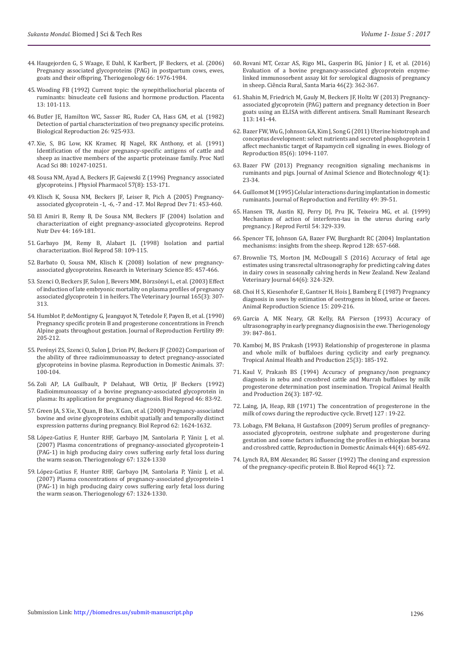- 44. [Haugejorden G, S Waage, E Dahl, K Karlbert, JF Beckers, et al. \(2006\)](http://www.sciencedirect.com/science/article/pii/S0093691X06003128)  [Pregnancy associated glycoproteins \(PAG\) in postpartum cows, ewes,](http://www.sciencedirect.com/science/article/pii/S0093691X06003128)  [goats and their offspring. Theriogenology 66: 1976-1984.](http://www.sciencedirect.com/science/article/pii/S0093691X06003128)
- 45. [Wooding FB \(1992\) Current topic: the synepitheliochorial placenta of](https://www.ncbi.nlm.nih.gov/pubmed/1631024)  [ruminants: binucleate cell fusions and hormone production. Placenta](https://www.ncbi.nlm.nih.gov/pubmed/1631024)  [13: 101-113.](https://www.ncbi.nlm.nih.gov/pubmed/1631024)
- 46. [Butler JE, Hamilton WC, Sasser RG, Ruder CA, Hass GM, et al. \(1982\)](https://www.ncbi.nlm.nih.gov/pubmed/6807365)  [Detection of partial characterization of two pregnancy specific proteins.](https://www.ncbi.nlm.nih.gov/pubmed/6807365)  [Biological Reproduction 26: 925-933.](https://www.ncbi.nlm.nih.gov/pubmed/6807365)
- 47. [Xie, S, BG Low, KK Kramer, RJ Nagel, RK Anthony, et al. \(1991\)](https://www.ncbi.nlm.nih.gov/pubmed/1946444)  [Identification of the major pregnancy-specific antigens of cattle and](https://www.ncbi.nlm.nih.gov/pubmed/1946444)  [sheep as inactive members of the aspartic proteinase family. Proc Natl](https://www.ncbi.nlm.nih.gov/pubmed/1946444)  [Acad Sci 88: 10247-10251.](https://www.ncbi.nlm.nih.gov/pubmed/1946444)
- 48. [Sousa NM, Ayad A, Beckers JF, Gajewski Z \(1996\) Pregnancy associated](https://www.ncbi.nlm.nih.gov/pubmed/17242480)  [glycoproteins. J Physiol Pharmacol 57\(8\): 153-171.](https://www.ncbi.nlm.nih.gov/pubmed/17242480)
- 49. [Klisch K, Sousa NM, Beckers JF, Leiser R, Pich A \(2005\) Pregnancy](http://orbi.ulg.ac.be/handle/2268/9310)[associated glycoprotein -1, -6, -7 and -17. Mol Reprod Dev 71: 453-460.](http://orbi.ulg.ac.be/handle/2268/9310)
- 50. [El Amiri B, Remy B, De Sousa NM, Beckers JF \(2004\) Isolation and](https://www.ncbi.nlm.nih.gov/pubmed/15460157)  [characterization of eight pregnancy-associated glycoproteins. Reprod](https://www.ncbi.nlm.nih.gov/pubmed/15460157)  [Nutr Dev 44: 169-181.](https://www.ncbi.nlm.nih.gov/pubmed/15460157)
- 51. [Garbayo JM, Remy B, Alabart JL \(1998\) Isolation and partial](https://www.ncbi.nlm.nih.gov/pubmed/9472930)  [characterization. Biol Reprod 58: 109-115.](https://www.ncbi.nlm.nih.gov/pubmed/9472930)
- 52. [Barbato O, Sousa NM, Klisch K \(2008\) Isolation of new pregnancy](https://www.ncbi.nlm.nih.gov/pubmed/18308351)[associated glycoproteins. Research in Veterinary Science 85: 457-466.](https://www.ncbi.nlm.nih.gov/pubmed/18308351)
- 53. [Szenci O, Beckers JF, Sulon J, Bevers MM, Börzsönyi L, et al. \(2003\) Effect](https://www.ncbi.nlm.nih.gov/pubmed/12672378)  [of induction of late embryonic mortality on plasma profiles of pregnancy](https://www.ncbi.nlm.nih.gov/pubmed/12672378)  [associated glycoprotein 1 in heifers. The Veterinary Journal 165\(3\): 307-](https://www.ncbi.nlm.nih.gov/pubmed/12672378) [313.](https://www.ncbi.nlm.nih.gov/pubmed/12672378)
- 54. [Humblot P, deMontigny G, Jeanguyot N, Tetedole F, Payen B, et al. \(1990\)](http://www.reproduction-online.org/content/89/1/205)  [Pregnancy specific protein B and progesterone concentrations in French](http://www.reproduction-online.org/content/89/1/205)  [Alpine goats throughout gestation. Journal of Reproduction Fertility 89:](http://www.reproduction-online.org/content/89/1/205)  [205-212.](http://www.reproduction-online.org/content/89/1/205)
- 55. [Perényi ZS, Szenci O, Sulon J, Drion PV, Beckers JF \(2002\) Comparison of](https://www.ncbi.nlm.nih.gov/pubmed/11975748)  [the ability of three radioimmunoassay to detect pregnancy-associated](https://www.ncbi.nlm.nih.gov/pubmed/11975748)  [glycoproteins in bovine plasma. Reproduction in Domestic Animals. 37:](https://www.ncbi.nlm.nih.gov/pubmed/11975748)  [100-104](https://www.ncbi.nlm.nih.gov/pubmed/11975748).
- 56. [Zoli AP, LA Guilbault, P Delahaut, WB Ortiz, JF Beckers \(1992\)](https://www.ncbi.nlm.nih.gov/pubmed/1547318)  [Radioimmunoassay of a bovine pregnancy-associated glycoprotein in](https://www.ncbi.nlm.nih.gov/pubmed/1547318)  [plasma: Its application for pregnancy diagnosis. Biol Reprod 46: 83-92.](https://www.ncbi.nlm.nih.gov/pubmed/1547318)
- 57. [Green JA, S Xie, X Quan, B Bao, X Gan, et al. \(2000\) Pregnancy-associated](https://academic.oup.com/biolreprod/article/62/6/1624/2734817/Pregnancy-Associated-Bovine-and-Ovine)  [bovine and ovine glycoproteins exhibit spatially and temporally distinct](https://academic.oup.com/biolreprod/article/62/6/1624/2734817/Pregnancy-Associated-Bovine-and-Ovine)  [expression patterns during pregnancy. Biol Reprod 62: 1624-1632.](https://academic.oup.com/biolreprod/article/62/6/1624/2734817/Pregnancy-Associated-Bovine-and-Ovine)
- 58. [López-Gatius F, Hunter RHF, Garbayo JM, Santolaria P, Yániz J, et al.](http://www.sciencedirect.com/science/article/pii/S0093691X07000623)  [\(2007\) Plasma concentrations of pregnancy-associated glycoprotein-1](http://www.sciencedirect.com/science/article/pii/S0093691X07000623)  [\(PAG-1\) in high producing dairy cows suffering early fetal loss during](http://www.sciencedirect.com/science/article/pii/S0093691X07000623)  [the warm season. Theriogenology 67: 1324-1330](http://www.sciencedirect.com/science/article/pii/S0093691X07000623)
- 59. L[ópez-Gatius F, Hunter RHF, Garbayo JM, Santolaria P, Yániz J, et al.](http://www.sciencedirect.com/science/article/pii/S0093691X07000623)  [\(2007\) Plasma concentrations of pregnancy-associated glycoprotein-1](http://www.sciencedirect.com/science/article/pii/S0093691X07000623)  [\(PAG-1\) in high producing dairy cows suffering early fetal loss during](http://www.sciencedirect.com/science/article/pii/S0093691X07000623)  [the warm season. Theriogenology 67: 1324-1330.](http://www.sciencedirect.com/science/article/pii/S0093691X07000623)
- 60. [Rovani MT, Cezar AS, Rigo ML, Gasperin BG, Júnior J E, et al. \(2016\)](http://www.scielo.br/scielo.php?script=sci_arttext&pid=S0103-84782016000200362) [Evaluation of a bovine pregnancy-associated glycoprotein enzyme](http://www.scielo.br/scielo.php?script=sci_arttext&pid=S0103-84782016000200362)[linked immunosorbent assay kit for serological diagnosis of pregnancy](http://www.scielo.br/scielo.php?script=sci_arttext&pid=S0103-84782016000200362) [in sheep. Ciência Rural, Santa Maria 46\(2\): 362-367.](http://www.scielo.br/scielo.php?script=sci_arttext&pid=S0103-84782016000200362)
- 61. [Shahin M, Friedrich M, Gauly M, Beckers JF, Holtz W \(2013\) Pregnancy](http://www.sciencedirect.com/science/article/pii/S0921448813000291)[associated glycoprotein \(PAG\) pattern and pregnancy detection in Boer](http://www.sciencedirect.com/science/article/pii/S0921448813000291) [goats using an ELISA with different antisera. Small Ruminant Research](http://www.sciencedirect.com/science/article/pii/S0921448813000291) [113: 141-44.](http://www.sciencedirect.com/science/article/pii/S0921448813000291)
- 62. [Bazer FW, Wu G, Johnson GA, Kim J, Song G \(2011\) Uterine histotroph and](https://www.ncbi.nlm.nih.gov/pubmed/21865556) [conceptus development: select nutrients and secreted phosphoprotein 1](https://www.ncbi.nlm.nih.gov/pubmed/21865556) [affect mechanistic target of Rapamycin cell signaling in ewes. Biology of](https://www.ncbi.nlm.nih.gov/pubmed/21865556) [Reproduction 85\(6\): 1094-1107.](https://www.ncbi.nlm.nih.gov/pubmed/21865556)
- 63. [Bazer FW \(2013\) Pregnancy recognition signaling mechanisms in](https://www.ncbi.nlm.nih.gov/pubmed/23800120) [ruminants and pigs. Journal of Animal Science and Biotechnology 4\(1\):](https://www.ncbi.nlm.nih.gov/pubmed/23800120) [23-34.](https://www.ncbi.nlm.nih.gov/pubmed/23800120)
- 64. [Guillomot M \(1995\) Celular interactions during implantation in domestic](https://www.ncbi.nlm.nih.gov/pubmed/7623329) [ruminants. Journal of Reproduction and Fertility 49: 39-51.](https://www.ncbi.nlm.nih.gov/pubmed/7623329)
- 65. [Hansen TR, Austin KJ, Perry DJ, Pru JK, Teixeira MG, et al. \(1999\)](https://www.ncbi.nlm.nih.gov/pubmed/10692865) [Mechanism of action of interferon-tau in the uterus during early](https://www.ncbi.nlm.nih.gov/pubmed/10692865) [pregnancy. J Reprod Fertil 54: 329-339.](https://www.ncbi.nlm.nih.gov/pubmed/10692865)
- 66. [Spencer TE, Johnson GA, Bazer FW, Burghardt RC \(2004\) Implantation](https://www.ncbi.nlm.nih.gov/pubmed/15579583) [mechanisms: insights from the sheep. Reprod 128: 657-668.](https://www.ncbi.nlm.nih.gov/pubmed/15579583)
- 67. [Brownlie TS, Morton JM, McDougall S \(2016\) Accuracy of fetal age](http://www.tandfonline.com/doi/abs/10.1080/00480169.2016.1207573) [estimates using transrectal ultrasonography for predicting calving dates](http://www.tandfonline.com/doi/abs/10.1080/00480169.2016.1207573) [in dairy cows in seasonally calving herds in New Zealand. New Zealand](http://www.tandfonline.com/doi/abs/10.1080/00480169.2016.1207573) [Veterinary Journal 64\(6\): 324-329.](http://www.tandfonline.com/doi/abs/10.1080/00480169.2016.1207573)
- 68. [Choi H S, Kiesenhofer E, Gantner H, Hois J, Bamberg E \(1987\) Pregnancy](http://www.sciencedirect.com/science/article/pii/0378432087900431) [diagnosis in sows by estimation of oestrogens in blood, urine or faeces.](http://www.sciencedirect.com/science/article/pii/0378432087900431) [Animal Reproduction Science 15: 209-216](http://www.sciencedirect.com/science/article/pii/0378432087900431).
- 69. [Garcia A, MK Neary, GR Kelly, RA Pierson \(1993\) Accuracy of](https://www.ncbi.nlm.nih.gov/pubmed/16727258) [ultrasonography in early pregnancy diagnosis in the ewe. Theriogenology](https://www.ncbi.nlm.nih.gov/pubmed/16727258) [39: 847-861.](https://www.ncbi.nlm.nih.gov/pubmed/16727258)
- 70. [Kamboj M, BS Prakash \(1993\) Relationship of progesterone in plasma](https://www.ncbi.nlm.nih.gov/pubmed/8236496) [and whole milk of buffaloes during cyclicity and early pregnancy.](https://www.ncbi.nlm.nih.gov/pubmed/8236496) [Tropical Animal Health and Production 25\(3\): 185-192.](https://www.ncbi.nlm.nih.gov/pubmed/8236496)
- 71. [Kaul V, Prakash BS \(1994\) Accuracy of pregnancy/non pregnancy](https://www.ncbi.nlm.nih.gov/pubmed/7809994) [diagnosis in zebu and crossbred cattle and Murrah buffaloes by milk](https://www.ncbi.nlm.nih.gov/pubmed/7809994) [progesterone determination post insemination. Tropical Animal Health](https://www.ncbi.nlm.nih.gov/pubmed/7809994) [and Production 26\(3\): 187-92.](https://www.ncbi.nlm.nih.gov/pubmed/7809994)
- 72. [Laing, JA, Heap, RB \(1971\) The concentration of progesterone in the](https://www.ncbi.nlm.nih.gov/pubmed/5570003) [milk of cows during the reproductive cycle. BrvetJ 127](https://www.ncbi.nlm.nih.gov/pubmed/5570003) : 19-22.
- 73. [Lobago, FM Bekana, H Gustafsson \(2009\) Serum profiles of pregnancy](https://www.ncbi.nlm.nih.gov/pubmed/19055565)[associated glycoprotein, oestrone sulphate and progesterone during](https://www.ncbi.nlm.nih.gov/pubmed/19055565) [gestation and some factors influencing the profiles in ethiopian borana](https://www.ncbi.nlm.nih.gov/pubmed/19055565) [and crossbred cattle, Reproduction in Domestic Animals 44\(4\): 685-692.](https://www.ncbi.nlm.nih.gov/pubmed/19055565)
- 74. [Lynch RA, BM Alexander, RG Sasser \(1992\) The cloning and expression](http://www.theriojournal.com/article/S0093-691X(98)00115-0/fulltext) [of the pregnancy-specific protein B. Biol Reprod 46\(1\): 72.](http://www.theriojournal.com/article/S0093-691X(98)00115-0/fulltext)